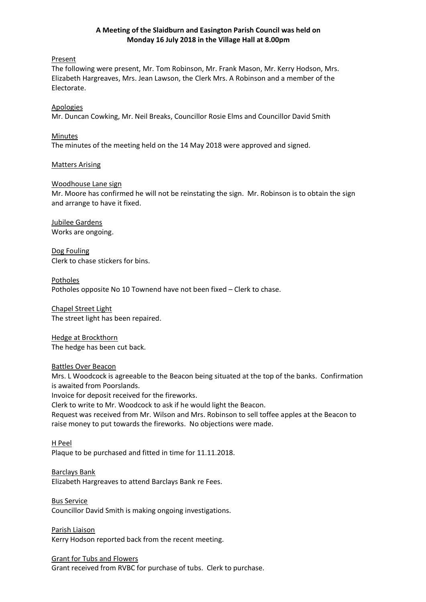## **A Meeting of the Slaidburn and Easington Parish Council was held on Monday 16 July 2018 in the Village Hall at 8.00pm**

## Present

The following were present, Mr. Tom Robinson, Mr. Frank Mason, Mr. Kerry Hodson, Mrs. Elizabeth Hargreaves, Mrs. Jean Lawson, the Clerk Mrs. A Robinson and a member of the Electorate.

## Apologies

Mr. Duncan Cowking, Mr. Neil Breaks, Councillor Rosie Elms and Councillor David Smith

## Minutes

The minutes of the meeting held on the 14 May 2018 were approved and signed.

## Matters Arising

## Woodhouse Lane sign

Mr. Moore has confirmed he will not be reinstating the sign. Mr. Robinson is to obtain the sign and arrange to have it fixed.

Jubilee Gardens Works are ongoing.

Dog Fouling Clerk to chase stickers for bins.

Potholes Potholes opposite No 10 Townend have not been fixed – Clerk to chase.

Chapel Street Light The street light has been repaired.

Hedge at Brockthorn The hedge has been cut back.

## Battles Over Beacon

Mrs. L Woodcock is agreeable to the Beacon being situated at the top of the banks. Confirmation is awaited from Poorslands.

Invoice for deposit received for the fireworks.

Clerk to write to Mr. Woodcock to ask if he would light the Beacon.

Request was received from Mr. Wilson and Mrs. Robinson to sell toffee apples at the Beacon to raise money to put towards the fireworks. No objections were made.

# H Peel

Plaque to be purchased and fitted in time for 11.11.2018.

Barclays Bank Elizabeth Hargreaves to attend Barclays Bank re Fees.

Bus Service Councillor David Smith is making ongoing investigations.

Parish Liaison Kerry Hodson reported back from the recent meeting.

## Grant for Tubs and Flowers

Grant received from RVBC for purchase of tubs. Clerk to purchase.